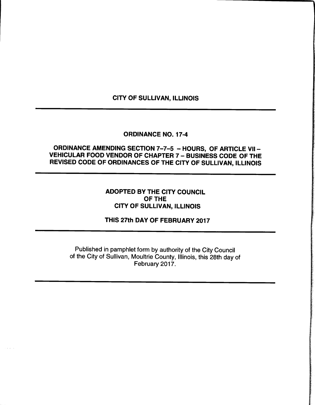### CITY OF SULLIVAN, ILLINOIS

### ORDINANCE NO. 17-4

# ORDINANCE AMENDING SECTION 7-7-5 - HOURS, OF ARTICLE VII -VEHICULAR FOOD VENDOR OF CHAPTER 7 — BUSINESS CODE OF THE REVISED CODE OF ORDINANCES OF THE CITY OF SULLIVAN, ILLINOIS

# ADOPTED BY THE CITY COUNCIL OF THE CITY OF SULLIVAN, ILLINOIS

# THIS 27th DAY OF FEBRUARY 2017

Published in pamphlet form by authority of the City Council of the City of Sullivan, Moultrie County, Illinois, this 28th day of February 2017.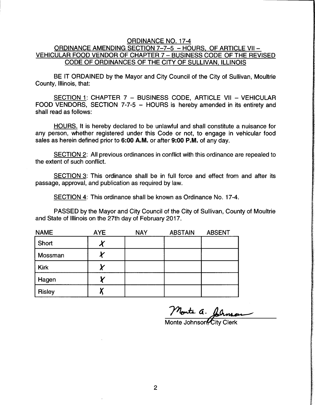#### ORDINANCE NO. 17-4 ORDINANCE AMENDING SECTION 7-7-5 - HOURS, OF ARTICLE VII -VEHICULAR FOOD VENDOR OF CHAPTER 7 — BUSINESS CODE OF THE REVISED CODE OF ORDINANCES OF THE CITY OF SULLIVAN, ILLINOIS

BE IT ORDAINED by the Mayor and City Council of the City of Sullivan, Moultrie County, Illinois, that:

SECTION 1: CHAPTER 7 — BUSINESS CODE, ARTICLE VII — VEHICULAR FOOD VENDORS, SECTION 7-7-5 — HOURS is hereby amended in its entirety and shall read as follows:

HOURS. It is hereby declared to be unlawful and shall constitute a nuisance for any person, whether registered under this Code or not, to engage in vehicular food sales as herein defined prior to 6:00 A.M. or after 9:00 P.M. of any day.

SECTION 2: All previous ordinances in conflict with this ordinance are repealed to the extent of such conflict.

SECTION 3: This ordinance shall be in full force and effect from and after its passage, approval, and publication as required by law.

SECTION 4: This ordinance shall be known as Ordinance No. 17-4.

PASSED by the Mayor and City Council of the City of Sullivan, County of Moultrie and State of Illinois on the 27th day of February 2017.

| <b>NAME</b>   | <b>AYE</b> | <b>NAY</b> | <b>ABSTAIN</b> | <b>ABSENT</b> |
|---------------|------------|------------|----------------|---------------|
| Short         |            |            |                |               |
| Mossman       |            |            |                |               |
| <b>Kirk</b>   | Λ          |            |                |               |
| Hagen         |            |            |                |               |
| <b>Risley</b> |            |            |                |               |

Monte a. forme